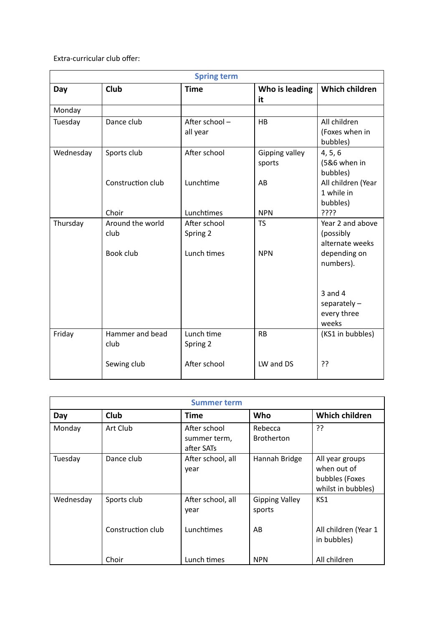Extra-curricular club offer:

| <b>Spring term</b> |                                       |                                         |                          |                                                                  |  |  |  |
|--------------------|---------------------------------------|-----------------------------------------|--------------------------|------------------------------------------------------------------|--|--|--|
| Day                | Club                                  | <b>Time</b>                             | Who is leading<br>it     | <b>Which children</b>                                            |  |  |  |
| Monday             |                                       |                                         |                          |                                                                  |  |  |  |
| Tuesday            | Dance club                            | After school-<br>all year               | <b>HB</b>                | All children<br>(Foxes when in<br>bubbles)                       |  |  |  |
| Wednesday          | Sports club                           | After school                            | Gipping valley<br>sports | 4, 5, 6<br>(5&6 when in<br>bubbles)                              |  |  |  |
|                    | Construction club                     | Lunchtime                               | AB                       | All children (Year<br>1 while in<br>bubbles)                     |  |  |  |
|                    | Choir                                 | Lunchtimes                              | <b>NPN</b>               | ????                                                             |  |  |  |
| Thursday           | Around the world<br>club<br>Book club | After school<br>Spring 2<br>Lunch times | <b>TS</b><br><b>NPN</b>  | Year 2 and above<br>(possibly<br>alternate weeks<br>depending on |  |  |  |
|                    |                                       |                                         |                          | numbers).<br>$3$ and $4$                                         |  |  |  |
|                    |                                       |                                         |                          | separately $-$<br>every three<br>weeks                           |  |  |  |
| Friday             | Hammer and bead<br>club               | Lunch time<br>Spring 2                  | <b>RB</b>                | (KS1 in bubbles)                                                 |  |  |  |
|                    | Sewing club                           | After school                            | LW and DS                | ??                                                               |  |  |  |

| <b>Summer term</b> |                   |                                            |                                 |                                                                        |  |  |  |
|--------------------|-------------------|--------------------------------------------|---------------------------------|------------------------------------------------------------------------|--|--|--|
| Day                | Club              | Time                                       | Who                             | <b>Which children</b>                                                  |  |  |  |
| Monday             | Art Club          | After school<br>summer term,<br>after SATs | Rebecca<br><b>Brotherton</b>    | ??                                                                     |  |  |  |
| Tuesday            | Dance club        | After school, all<br>year                  | Hannah Bridge                   | All year groups<br>when out of<br>bubbles (Foxes<br>whilst in bubbles) |  |  |  |
| Wednesday          | Sports club       | After school, all<br>year                  | <b>Gipping Valley</b><br>sports | KS1                                                                    |  |  |  |
|                    | Construction club | Lunchtimes                                 | AB                              | All children (Year 1<br>in bubbles)                                    |  |  |  |
|                    | Choir             | Lunch times                                | <b>NPN</b>                      | All children                                                           |  |  |  |